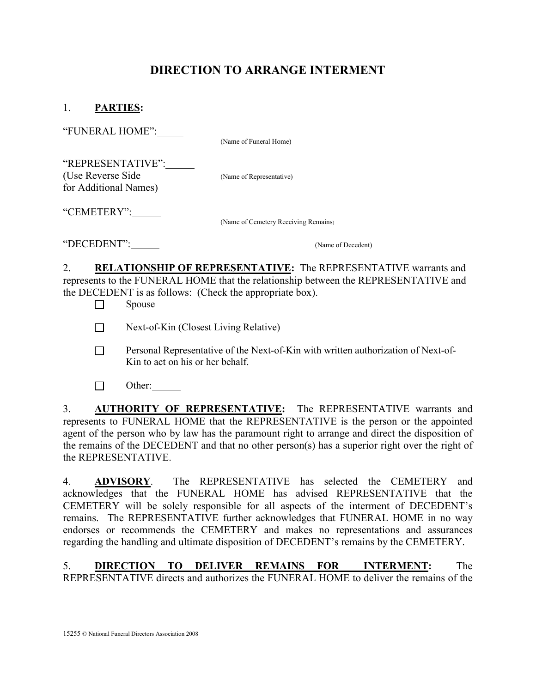## DIRECTION TO ARRANGE INTERMENT

| "FUNERAL HOME":                                                 | (Name of Funeral Home)               |
|-----------------------------------------------------------------|--------------------------------------|
| "REPRESENTATIVE":<br>(Use Reverse Side<br>for Additional Names) | (Name of Representative)             |
| "CEMETERY":___                                                  | (Name of Cemetery Receiving Remains) |
| "DECEDENT":                                                     | (Name of Decedent)                   |

2. RELATIONSHIP OF REPRESENTATIVE: The REPRESENTATIVE warrants and represents to the FUNERAL HOME that the relationship between the REPRESENTATIVE and the DECEDENT is as follows: (Check the appropriate box).

 $\Box$  Spouse

Next-of-Kin (Closest Living Relative)

- **Personal Representative of the Next-of-Kin with written authorization of Next-of-**Kin to act on his or her behalf.
- $\Box$  Other:

3. AUTHORITY OF REPRESENTATIVE: The REPRESENTATIVE warrants and represents to FUNERAL HOME that the REPRESENTATIVE is the person or the appointed agent of the person who by law has the paramount right to arrange and direct the disposition of the remains of the DECEDENT and that no other person(s) has a superior right over the right of the REPRESENTATIVE.

4. ADVISORY. The REPRESENTATIVE has selected the CEMETERY and acknowledges that the FUNERAL HOME has advised REPRESENTATIVE that the CEMETERY will be solely responsible for all aspects of the interment of DECEDENT's remains. The REPRESENTATIVE further acknowledges that FUNERAL HOME in no way endorses or recommends the CEMETERY and makes no representations and assurances regarding the handling and ultimate disposition of DECEDENT's remains by the CEMETERY.

5. DIRECTION TO DELIVER REMAINS FOR INTERMENT: The REPRESENTATIVE directs and authorizes the FUNERAL HOME to deliver the remains of the